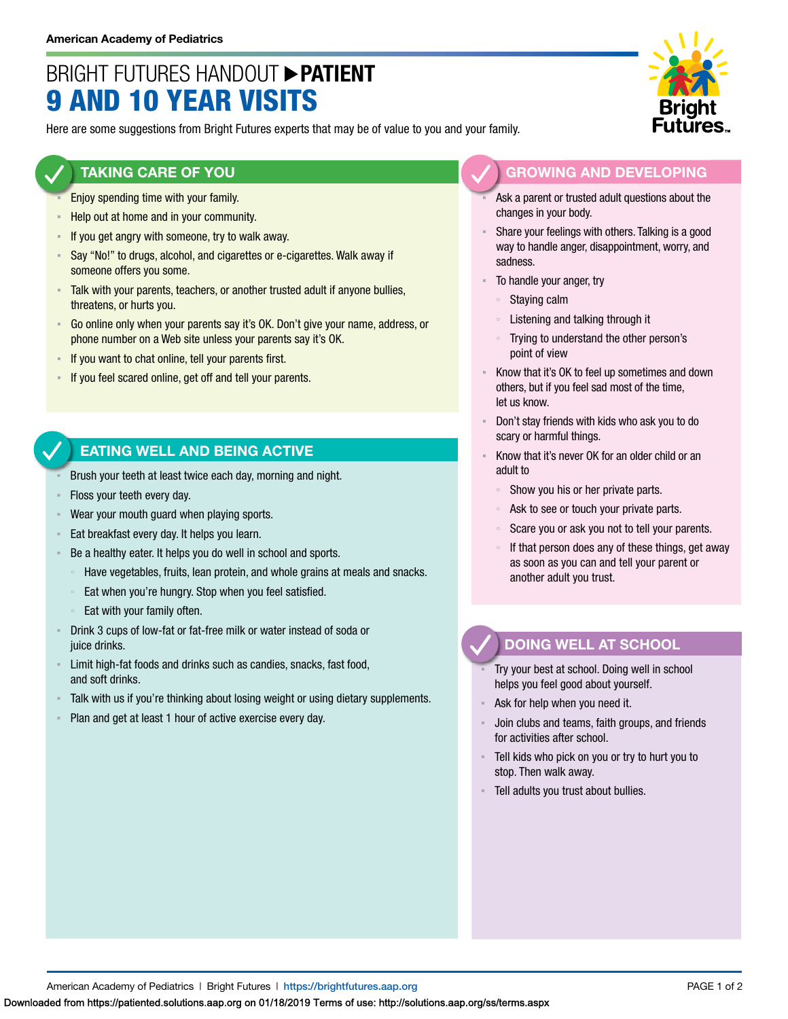# BRIGHT FUTURES HANDOUT **PATIENT** 9 AND 10 YEAR VISITS

Here are some suggestions from Bright Futures experts that may be of value to you and your family.

### **TAKING CARE OF YOU**

- Enjoy spending time with your family.
- Help out at home and in your community.
- **EXED If you get angry with someone, try to walk away.**
- Say "No!" to drugs, alcohol, and cigarettes or e-cigarettes. Walk away if someone offers you some.
- Talk with your parents, teachers, or another trusted adult if anyone bullies, threatens, or hurts you.
- Go online only when your parents say it's OK. Don't give your name, address, or phone number on a Web site unless your parents say it's OK.
- If you want to chat online, tell your parents first.
- If you feel scared online, get off and tell your parents.

### **EATING WELL AND BEING ACTIVE**

- Brush your teeth at least twice each day, morning and night.
- Floss your teeth every day.
- Wear your mouth guard when playing sports.
- Eat breakfast every day. It helps you learn.
- Be a healthy eater. It helps you do well in school and sports.
	- Have vegetables, fruits, lean protein, and whole grains at meals and snacks.
- Eat when you're hungry. Stop when you feel satisfied.
- Eat with your family often.
- Drink 3 cups of low-fat or fat-free milk or water instead of soda or juice drinks.
- **EXECT** Limit high-fat foods and drinks such as candies, snacks, fast food, and soft drinks.
- Talk with us if you're thinking about losing weight or using dietary supplements.
- Plan and get at least 1 hour of active exercise every day.



- Ask a parent or trusted adult questions about the changes in your body.
- Share your feelings with others. Talking is a good way to handle anger, disappointment, worry, and sadness.
- To handle your anger, try
	- Staying calm
	- Listening and talking through it
	- Trying to understand the other person's point of view
- Know that it's OK to feel up sometimes and down others, but if you feel sad most of the time, let us know.
- Don't stay friends with kids who ask you to do scary or harmful things.
- Know that it's never OK for an older child or an adult to
	- Show you his or her private parts.
	- Ask to see or touch your private parts.
	- Scare you or ask you not to tell your parents.
	- If that person does any of these things, get away as soon as you can and tell your parent or another adult you trust.

## **DOING WELL AT SCHOOL**

- Try your best at school. Doing well in school helps you feel good about yourself.
- Ask for help when you need it.
- Join clubs and teams, faith groups, and friends for activities after school.
- Tell kids who pick on you or try to hurt you to stop. Then walk away.
- Tell adults you trust about bullies.